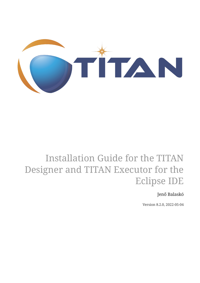

# Installation Guide for the TITAN Designer and TITAN Executor for the Eclipse IDE

Jenő Balaskó

Version 8.2.0, 2022-05-04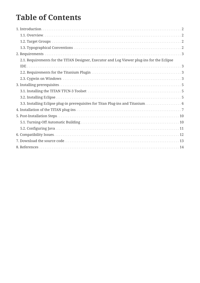## **Table of Contents**

| 2.1. Requirements for the TITAN Designer, Executor and Log Viewer plug-ins for the Eclipse |
|--------------------------------------------------------------------------------------------|
|                                                                                            |
|                                                                                            |
|                                                                                            |
|                                                                                            |
|                                                                                            |
|                                                                                            |
| 3.3. Installing Eclipse plug-in prerequisites for Titan Plug-ins and Titanium 6            |
|                                                                                            |
|                                                                                            |
|                                                                                            |
|                                                                                            |
|                                                                                            |
|                                                                                            |
|                                                                                            |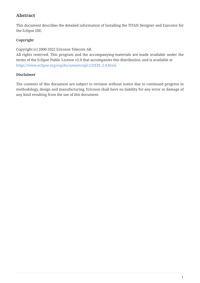#### **Abstract**

This document describes the detailed information of installing the TITAN Designer and Executor for the Eclipse IDE.

#### **Copyright**

Copyright (c) 2000-2022 Ericsson Telecom AB.

All rights reserved. This program and the accompanying materials are made available under the terms of the Eclipse Public License v2.0 that accompanies this distribution, and is available at [https://www.eclipse.org/org/documents/epl-2.0/EPL-2.0.html.](https://www.eclipse.org/org/documents/epl-2.0/EPL-2.0.html)

#### **Disclaimer**

The contents of this document are subject to revision without notice due to continued progress in methodology, design and manufacturing. Ericsson shall have no liability for any error or damage of any kind resulting from the use of this document.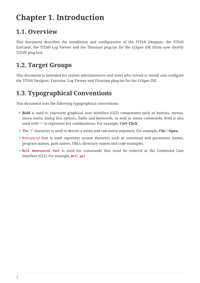## <span id="page-3-0"></span>**Chapter 1. Introduction**

## <span id="page-3-1"></span>**1.1. Overview**

This document describes the installation and configuration of the TITAN Designer, the TITAN Executor, the TITAN Log Viewer and the Titanium plug-ins for the Eclipse IDE (from now shortly TITAN plug-ins).

### <span id="page-3-2"></span>**1.2. Target Groups**

This document is intended for system administrators and users who intend to install and configure the TITAN Designer, Executor, Log Viewer and Titanium plug-ins for the Eclipse IDE.

## <span id="page-3-3"></span>**1.3. Typographical Conventions**

This document uses the following typographical conventions:

- **Bold** is used to represent graphical user interface (GUI) components such as buttons, menus, menu items, dialog box options, fields and keywords, as well as menu commands. Bold is also used with '+' to represent key combinations. For example, **Ctrl+Click**
- The "**/**" character is used to denote a menu and sub-menu sequence. For example, **File / Open**.
- Monospaced font is used represent system elements such as command and parameter names, program names, path names, URLs, directory names and code examples.
- **Bold monospaced font** is used for commands that must be entered at the Command Line Interface (CLI), For example, **mctr\_gui**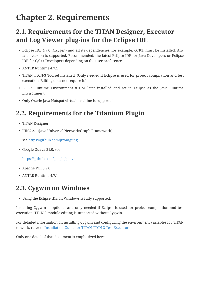## <span id="page-4-0"></span>**Chapter 2. Requirements**

#### <span id="page-4-1"></span>**2.1. Requirements for the TITAN Designer, Executor and Log Viewer plug-ins for the Eclipse IDE**

- Eclipse IDE 4.7.0 (Oxygen) and all its dependencies, for example, GTK2, must be installed. Any later version is supported. Recommended: the latest Eclipse IDE for Java Developers or Eclipse IDE for C/C++ Developers depending on the user preferences
- ANTLR Runtime 4.7.1
- TITAN TTCN-3 Toolset installed. (Only needed if Eclipse is used for project compilation and test execution. Editing does not require it.)
- J2SE™ Runtime Environment 8.0 or later installed and set in Eclipse as the Java Runtime Environment
- Only Oracle Java Hotspot virtual machine is supported

#### <span id="page-4-2"></span>**2.2. Requirements for the Titanium Plugin**

- TITAN Designer
- JUNG 2.1 (Java Universal Network/Graph Framework)

see <https://github.com/jrtom/jung>

• Google Guava 21.0, see

<https://github.com/google/guava>

- Apache POI 3.9.0
- ANTLR Runtime 4.7.1

#### <span id="page-4-3"></span>**2.3. Cygwin on Windows**

• Using the Eclipse IDE on Windows is fully supported.

Installing Cygwin is optional and only needed if Eclipse is used for project compilation and test execution. TTCN-3 module editing is supported without Cygwin.

For detailed information on installing Cygwin and configuring the environment variables for TITAN to work, refer to [Installation Guide for TITAN TTCN-3 Test Executor](#page-15-1).

Only one detail of that document is emphasized here: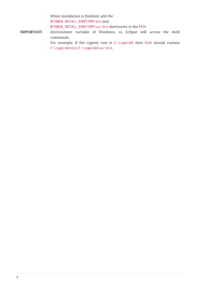When installation is finished, add the \$CYGWIN\_INSTALL\_DIRECTORY\bin and

\$CYGWIN\_INSTALL\_DIRECTORY\usr\bin directories to the PATH

**IMPORTANT** environment variable of Windows, so Eclipse will access the shell commands.

> For example, if the cygwin root is C:\cygwin64 then Path should contain C:\cygwin64\bin;C:\cygwin64\usr\bin.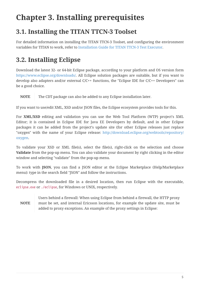## <span id="page-6-0"></span>**Chapter 3. Installing prerequisites**

### <span id="page-6-1"></span>**3.1. Installing the TITAN TTCN-3 Toolset**

For detailed information on installing the TITAN TTCN-3 Toolset, and configuring the environment variables for TITAN to work, refer to [Installation Guide for TITAN TTCN-3 Test Executor.](#page-15-1)

## <span id="page-6-2"></span>**3.2. Installing Eclipse**

Download the latest 32- or 64-bit Eclipse package, according to your platform and OS version form [https://www.eclipse.org/downloads/.](https://www.eclipse.org/downloads/) All Eclipse solution packages are suitable, but if you want to develop also adapters and/or external C/C++ functions, the "Eclipse IDE for C/C++ Developers" can be a good choice.

**NOTE** The CDT package can also be added to any Eclipse installation later.

If you want to use/edit XML, XSD and/or JSON files, the Eclipse ecosystem provides tools for this.

For **XML/XSD** editing and validation you can use the Web Tool Platform (WTP) project's XML Editor; it is contained in Eclipse IDE for Java EE Developers by default, and in other Eclipse packages it can be added from the project's update site (for other Eclipse releases just replace "oxygen" with the name of your Eclipse release: [http://download.eclipse.org/webtools/repository/](http://download.eclipse.org/webtools/repository/oxygen) [oxygen](http://download.eclipse.org/webtools/repository/oxygen).

To validate your XSD or XML file(s), select the file(s), right-click on the selection and choose **Validate** from the pop-up menu. You can also validate your document by right clicking in the editor window and selecting "validate" from the pop-up menu.

To work with **JSON**, you can find a JSON editor at the Eclipse Marketplace (Help/Marketplace menu): type in the search field "JSON" and follow the instructions.

Decompress the downloaded file in a desired location, then run Eclipse with the executable, eclipse.exe or ./eclipse, for Windows or UNIX, respectively.

#### **NOTE**

Users behind a firewall: When using Eclipse from behind a firewall, the HTTP proxy must be set, and internal Ericsson locations, for example the update site, must be added to proxy exceptions. An example of the proxy settings in Eclipse: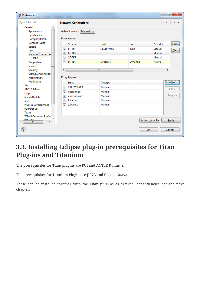| Preferences                                                                                               |                         |                            |              |         |                  | $\mathbf{x}$<br>$\Box$                                          |
|-----------------------------------------------------------------------------------------------------------|-------------------------|----------------------------|--------------|---------|------------------|-----------------------------------------------------------------|
| type filter text                                                                                          |                         | <b>Network Connections</b> |              |         |                  | $\Leftrightarrow \; \star \; \Leftrightarrow \; \star \; \star$ |
| General<br>ᆂ<br>Active Provider: Manual v<br>Appearance<br>Capabilities<br>Proxy entries<br>Compare/Patch |                         |                            |              |         |                  |                                                                 |
| <b>Content Types</b>                                                                                      |                         | Schema                     | Host         | Port    | Provider         | Edit                                                            |
| <b>Editors</b>                                                                                            | $\overline{\mathsf{v}}$ | <b>HTTP</b>                | 159.107.0.62 | 8080    | Manual           | Clear                                                           |
| Keys<br><b>Network Connection</b>                                                                         | $\overline{\mathsf{v}}$ | <b>HTTPS</b>               |              |         | Manual           |                                                                 |
| SSH <sub>2</sub>                                                                                          | $\overline{\mathsf{v}}$ | <b>SOCKS</b>               |              |         | Manual           |                                                                 |
| Perspectives                                                                                              |                         | <b>HTTP</b>                | Dynamic      | Dynamic | <b>Native</b>    |                                                                 |
| Search<br>Ξ                                                                                               |                         |                            |              |         |                  |                                                                 |
| Security                                                                                                  | $\overline{4}$          |                            | m.           |         |                  | Þ.                                                              |
| Startup and Shutdov<br><b>Web Browser</b>                                                                 | Proxy bypass            |                            |              |         |                  |                                                                 |
| Workspace                                                                                                 |                         | Host                       | Provider     |         |                  | Add Host                                                        |
| Ant<br><b>ANTLR Editor</b>                                                                                | $\overline{\mathsf{v}}$ | 159.107.193.8              | Manual       |         |                  | Edit                                                            |
| Help                                                                                                      | $\overline{\mathsf{v}}$ | ericsson.se                | Manual       |         |                  |                                                                 |
| Install/Update                                                                                            | $\overline{\mathbf{v}}$ | ericsson.com               | Manual       |         |                  | Remove                                                          |
| Java                                                                                                      | $\overline{\mathsf{v}}$ | localhost                  | Manual       |         |                  |                                                                 |
| Plug-in Development                                                                                       | ⊽                       | 127.0.0.1                  | Manual       |         |                  |                                                                 |
| Run/Debug                                                                                                 |                         |                            |              |         |                  |                                                                 |
| Team                                                                                                      |                         |                            |              |         |                  |                                                                 |
| <b>TITAN Common Prefere</b><br>TITANI Filozofia<br>$\left($<br>m.<br>b.                                   |                         |                            |              |         | Restore Defaults | Apply                                                           |
| ?                                                                                                         |                         |                            |              |         | <b>OK</b>        | Cancel                                                          |

## <span id="page-7-0"></span>**3.3. Installing Eclipse plug-in prerequisites for Titan Plug-ins and Titanium**

The prerequisites for Titan plugins are POI and ANTLR Runtime.

The prerequisites for Titanium Plugin are JUNG and Google Guava.

These can be installed together with the Titan plug-ins as external dependencies, see the next chapter.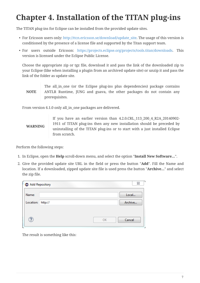## <span id="page-8-0"></span>**Chapter 4. Installation of the TITAN plug-ins**

The TITAN plug-ins for Eclipse can be installed from the provided update sites.

- For Ericsson users only: [http://ttcn.ericsson.se/download/update\\_site.](http://ttcn.ericsson.se/download/update_site) The usage of this version is conditioned by the presence of a license file and supported by the Titan support team.
- For users outside Ericsson: [https://projects.eclipse.org/projects/tools.titan/downloads.](https://projects.eclipse.org/projects/tools.titan/downloads) This version is licensed under the Eclipse Public License.

Choose the appropriate zip or tgz file, download it and pass the link of the downloaded zip to your Eclipse (like when installing a plugin from an archived update site) or unzip it and pass the link of the folder as update site.

**NOTE** The all\_in\_one (or the Eclipse plug-ins plus dependencies) package contains ANTLR Runtime, JUNG and guava, the other packages do not contain any prerequisites.

From version 6.1.0 only all\_in\_one packages are delivered.

#### **WARNING** If you have an earlier version than 4.2.0.CRL\_113\_200\_4\_R2A\_20140902- 1911 of TITAN plug-ins then any new installation should be preceded by uninstalling of the TITAN plug-ins or to start with a just installed Eclipse from scratch.

Perform the following steps:

- 1. In Eclipse, open the **Help** scroll-down menu, and select the option "**Install New Software…**".
- 2. Give the provided update site URL in the field or press the button "**Add**". Fill the Name and location. If a downloaded, zipped update site file is used press the button "**Archive…**" and select the zip file.

| Add Repository |         |  |    | Σ3      |
|----------------|---------|--|----|---------|
| Name:          |         |  |    | Local   |
| Location:      | http:// |  |    | Archive |
|                |         |  |    |         |
| ႗              |         |  | OK | Cancel  |
|                |         |  |    |         |

The result is something like this: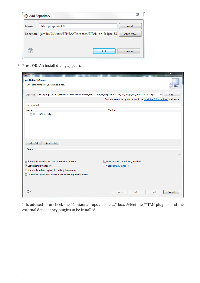| Add Repository |                                                                    | 23      |
|----------------|--------------------------------------------------------------------|---------|
| Name:          | Titan plugins 6.1.0                                                | Local   |
|                | Location: jar:file:/C:/Users/ETHBAAT/src_ttcn/TITAN_on_Eclipse_6.1 | Archive |
|                |                                                                    |         |
|                | ок                                                                 | Cancel  |

3. Press **OK**. An install dialog appears.

| $\bigoplus$ Install                                                                                                                  | ▫<br>x                                                                         |
|--------------------------------------------------------------------------------------------------------------------------------------|--------------------------------------------------------------------------------|
| <b>Available Software</b>                                                                                                            |                                                                                |
| Check the items that you wish to install.                                                                                            |                                                                                |
|                                                                                                                                      |                                                                                |
| Titan plugins 6.1.0 - jar:file:/C:/Users/ETHBAAT/src_ttcn/TITAN_on_Eclipse_6.1.0.CRL_113_200_6_R1A_20161108-0827.zip!/<br>Work with: | Add<br>▼                                                                       |
|                                                                                                                                      | Find more software by working with the "Available Software Sites" preferences. |
| type filter text                                                                                                                     |                                                                                |
| Name                                                                                                                                 | Version                                                                        |
| DOO TITAN_on_Eclipse                                                                                                                 |                                                                                |
|                                                                                                                                      |                                                                                |
|                                                                                                                                      |                                                                                |
|                                                                                                                                      |                                                                                |
|                                                                                                                                      |                                                                                |
| Select All<br><b>Deselect All</b>                                                                                                    |                                                                                |
| <b>Details</b>                                                                                                                       |                                                                                |
|                                                                                                                                      | $\lambda$                                                                      |
| Show only the latest versions of available software                                                                                  | Hide items that are already installed                                          |
| Group items by category                                                                                                              | What is already installed?                                                     |
| Show only software applicable to target environment                                                                                  |                                                                                |
| Contact all update sites during install to find required software                                                                    |                                                                                |
|                                                                                                                                      |                                                                                |
|                                                                                                                                      |                                                                                |
| ?                                                                                                                                    |                                                                                |
|                                                                                                                                      | < Back<br>Finish<br>Cancel<br>Next >                                           |

4. It is advised to uncheck the "Contact all update sites…" box. Select the TITAN plug-ins and the external dependency plugins to be installed.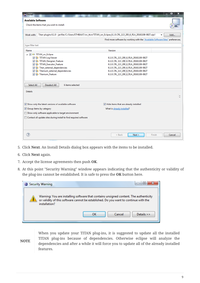| $\bigoplus$ Install                                                                                                                  | o<br>x                                                                         |
|--------------------------------------------------------------------------------------------------------------------------------------|--------------------------------------------------------------------------------|
| <b>Available Software</b>                                                                                                            |                                                                                |
| Check the items that you wish to install.                                                                                            |                                                                                |
| Titan plugins 6.1.0 - jar:file:/C:/Users/ETHBAAT/src_ttcn/TITAN_on_Eclipse_6.1.0.CRL_113_200_6_R1A_20161108-0827.zip!/<br>Work with: | Add…                                                                           |
|                                                                                                                                      | Find more software by working with the "Available Software Sites" preferences. |
|                                                                                                                                      |                                                                                |
| type filter text                                                                                                                     |                                                                                |
| Name                                                                                                                                 | Version                                                                        |
| △ 7 000 TITAN_on_Eclipse                                                                                                             |                                                                                |
| <b>MA</b> TITAN Log Viewer                                                                                                           | 6.1.0.CRL 113 200 6 R1A 20161108-0827                                          |
| <b>D D</b> TITAN_Designer_Feature                                                                                                    | 6.1.0.CRL_113_200_6_R1A_20161108-0827                                          |
| <b>D D</b> TITAN_Executor_Feature                                                                                                    | 6.1.0.CRL_113_200_6_R1A_20161108-0827                                          |
| Titan_external_dependencies                                                                                                          | 6.1.0.CRL_113_200_6_R1A_20161108-0827                                          |
| Titanium_external_dependencies                                                                                                       | 6.1.0.CRL_113_200_6_R1A_20161108-0827                                          |
| <b>IDI 43-</b> Titanium Feature                                                                                                      | 6.1.0.CRL_113_200_6_R1A_20161108-0827                                          |
| Select All<br>Deselect All<br>6 items selected<br><b>Details</b>                                                                     |                                                                                |
|                                                                                                                                      |                                                                                |
| Show only the latest versions of available software                                                                                  | Hide items that are already installed                                          |
| Group items by category                                                                                                              | What is already installed?                                                     |
| Show only software applicable to target environment                                                                                  |                                                                                |
| Contact all update sites during install to find required software                                                                    |                                                                                |
|                                                                                                                                      |                                                                                |
| ?                                                                                                                                    | Next ><br>$<$ Back<br>Finish<br>Cancel                                         |

- 5. Click **Next**. An Install Details dialog box appears with the items to be installed.
- 6. Click **Next** again.
- 7. Accept the license agreements then push **OK**.
- 8. At this point "Security Warning" window appears indicating that the authenticity or validity of the plug-ins cannot be established. It is safe to press the **OK** button here.

| <b>Security Warning</b>                                                                               | e                                                                                     |
|-------------------------------------------------------------------------------------------------------|---------------------------------------------------------------------------------------|
| or validity of this software cannot be established. Do you want to continue with the<br>installation? | Warning: You are installing software that contains unsigned content. The authenticity |
| ок                                                                                                    | Details $\rightarrow$<br>Cancel                                                       |

**NOTE**

When you update your TITAN plug-ins, it is suggested to update all the installed TITAN plug-ins because of dependencies. Otherwise eclipse will analyze the dependencies and after a while it will force you to update all of the already installed features.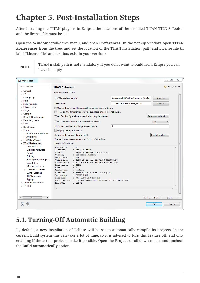## <span id="page-11-0"></span>**Chapter 5. Post-Installation Steps**

After installing the TITAN plug-ins in Eclipse, the locations of the installed TITAN TTCN-3 Toolset and the license file must be set.

Open the **Window** scroll-down menu, and open **Preferences.** In the pop-up window, open **TITAN Preferences** from the tree, and set the location of the TITAN installation path and License file (if label "License file" and text box exist in your version).

**NOTE**

TITAN install path is not mandatory. If you don't want to build from Eclipse you can leave it empty.

| <b>A</b> Preferences                                                                                                                                                                                                                                                                                 |                                                                                                                                                                                                                                                                                                                                                                                                                                                                                                                                           |                                         | ▣<br>X<br>$\qquad \qquad \Box$                              |
|------------------------------------------------------------------------------------------------------------------------------------------------------------------------------------------------------------------------------------------------------------------------------------------------------|-------------------------------------------------------------------------------------------------------------------------------------------------------------------------------------------------------------------------------------------------------------------------------------------------------------------------------------------------------------------------------------------------------------------------------------------------------------------------------------------------------------------------------------------|-----------------------------------------|-------------------------------------------------------------|
| type filter text                                                                                                                                                                                                                                                                                     | <b>TITAN Preferences</b>                                                                                                                                                                                                                                                                                                                                                                                                                                                                                                                  |                                         | $\Leftrightarrow$ $\rightarrow$ $\rightarrow$ $\rightarrow$ |
| ⊳ General<br>$\triangleright$ C/C++                                                                                                                                                                                                                                                                  | <b>Preferences for TITAN</b>                                                                                                                                                                                                                                                                                                                                                                                                                                                                                                              |                                         |                                                             |
| ChangeLog<br>$\triangleright$ Help                                                                                                                                                                                                                                                                   | TITAN installation path:                                                                                                                                                                                                                                                                                                                                                                                                                                                                                                                  | C:\Users\ETHBAAT\git\titan.core\Install | Browse                                                      |
| $\triangleright$ Install/Update                                                                                                                                                                                                                                                                      | License file:                                                                                                                                                                                                                                                                                                                                                                                                                                                                                                                             | C:\Users\ethbaat\license_98.dat         | Browse                                                      |
| $\triangleright$ Library Hover                                                                                                                                                                                                                                                                       | Use markers for build error notification instead of a dialog.                                                                                                                                                                                                                                                                                                                                                                                                                                                                             |                                         |                                                             |
| $\triangleright$ Mylyn<br>$\triangleright$ Oomph                                                                                                                                                                                                                                                     | Treat on-the-fly errors as fatal for build (the project will not build).                                                                                                                                                                                                                                                                                                                                                                                                                                                                  |                                         |                                                             |
| Remote Development                                                                                                                                                                                                                                                                                   | When On-the-Fly analyzation ends the compiler markers:                                                                                                                                                                                                                                                                                                                                                                                                                                                                                    |                                         | Become outdated                                             |
| Remote Systems<br>$\triangleright$ RPM                                                                                                                                                                                                                                                               | When the compiler runs the on-the-fly markers:                                                                                                                                                                                                                                                                                                                                                                                                                                                                                            |                                         | Stay                                                        |
| ▷ Run/Debug                                                                                                                                                                                                                                                                                          | Maximum number of build processes to use:                                                                                                                                                                                                                                                                                                                                                                                                                                                                                                 | 4                                       |                                                             |
| $\triangleright$ Team                                                                                                                                                                                                                                                                                | Display debug preferences                                                                                                                                                                                                                                                                                                                                                                                                                                                                                                                 |                                         |                                                             |
| <b>TITAN Common Preference</b><br><b>TITAN Executor</b>                                                                                                                                                                                                                                              | Action on the console before build:                                                                                                                                                                                                                                                                                                                                                                                                                                                                                                       |                                         | Print delimiter                                             |
| $\triangleright$ TITAN Log Viewer                                                                                                                                                                                                                                                                    | The version of the compiler used: CRL 113 200/6 R1A                                                                                                                                                                                                                                                                                                                                                                                                                                                                                       |                                         |                                                             |
| TITAN Preferences                                                                                                                                                                                                                                                                                    | License information:                                                                                                                                                                                                                                                                                                                                                                                                                                                                                                                      |                                         |                                                             |
| <b>Content Assist</b><br><b>Excluded resources</b><br>Export<br>Folding<br>Highlight matching bra<br>Indentation<br>Mark occurrences<br>▷ On-the-fly checker<br><b>Syntax Coloring</b><br><b>TITAN actions</b><br><b>Typing</b><br>$\triangleright$ Titanium Preferences<br>$\triangleright$ Tracing | Unique ID<br>$-98$<br>: Jenô Balaskó<br>Licensee<br>E-mail<br>: jeno.balasko@ericsson.com<br>: Ericsson Hungary<br>Company<br>ETH/<br>Department<br>Valid from<br>: 2002-09-20 Fri 00:00:00 GMT+02:00<br>: 2017-04-08 Sat 23:59:59 GMT+02:00<br>Valid until<br>Limitation<br>: USER<br>$\pm$ 0<br>Host ID<br>Login name<br>: ethbaat<br>: from 1.1.pl0 until 1.99.pl99<br>Versions<br>Languages<br>: TTCN3 ASN1<br>Encoders<br>: RAW TEXT BER PER XER<br>Applications : CODEGEN TPGEN SINGLE MCTR HC LOGFORMAT GUI<br>Max PTCs<br>: 10000 |                                         |                                                             |
| m,<br>$\leftarrow$<br>Þ.                                                                                                                                                                                                                                                                             |                                                                                                                                                                                                                                                                                                                                                                                                                                                                                                                                           |                                         | <b>Restore Defaults</b><br>Annly                            |
|                                                                                                                                                                                                                                                                                                      |                                                                                                                                                                                                                                                                                                                                                                                                                                                                                                                                           |                                         | OK<br>Cancel                                                |

### <span id="page-11-1"></span>**5.1. Turning-Off Automatic Building**

By default, a new installation of Eclipse will be set to automatically compile its projects. In the current build system this can take a lot of time, so it is advised to turn this feature off, and only enabling if the actual projects make it possible. Open the **Project** scroll-down menu, and uncheck the **Build automatically** option.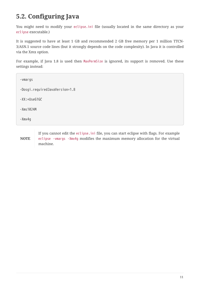### <span id="page-12-0"></span>**5.2. Configuring Java**

You might need to modify your eclipse.ini file (usually located in the same directory as your eclipse executable.)

It is suggested to have at least 1 GB and recommended 2 GB free memory per 1 million TTCN-3/ASN.1 source code lines (but it strongly depends on the code complexity). In Java it is controlled via the Xmx option.

For example, if Java 1.8 is used then MaxPermSize is ignored, its support is removed. Use these settings instead:

-vmargs -Dosgi.requiredJavaVersion=1.8 -XX:+UseG1GC -Xms1024M -Xmx4g

**NOTE** If you cannot edit the eclipse.ini file, you can start eclipse with flags. For example eclipse -vmargs -Xmx4g modifies the maximum memory allocation for the virtual machine.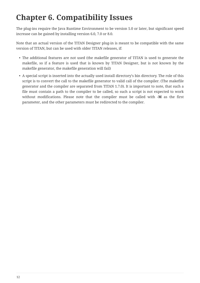## <span id="page-13-0"></span>**Chapter 6. Compatibility Issues**

The plug-ins require the Java Runtime Environment to be version 5.0 or later, but significant speed increase can be gained by installing version 6.0, 7.0 or 8.0.

Note that an actual version of the TITAN Designer plug-in is meant to be compatible with the same version of TITAN, but can be used with older TITAN releases, if:

- The additional features are not used (the makefile generator of TITAN is used to generate the makefile, so if a feature is used that is known by TITAN Designer, but is not known by the makefile generator, the makefile generation will fail)
- A special script is inserted into the actually used install directory's bin directory. The role of this script is to convert the call to the makefile generator to valid call of the compiler. (The makefile generator and the compiler are separated from TITAN 1.7.0). It is important to note, that such a file must contain a path to the compiler to be called, so such a script is not expected to work without modifications. Please note that the compiler must be called with **-M** as the first parameter, and the other parameters must be redirected to the compiler.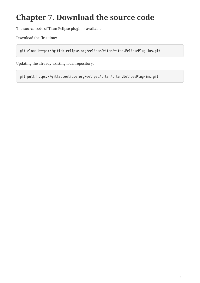## <span id="page-14-0"></span>**Chapter 7. Download the source code**

The source code of Titan Eclipse plugin is available.

Download the first time:

**git clone https://gitlab.eclipse.org/eclipse/titan/titan.EclipsePlug-ins.git**

Updating the already existing local repository:

**git pull https://gitlab.eclipse.org/eclipse/titan/titan.EclipsePlug-ins.git**